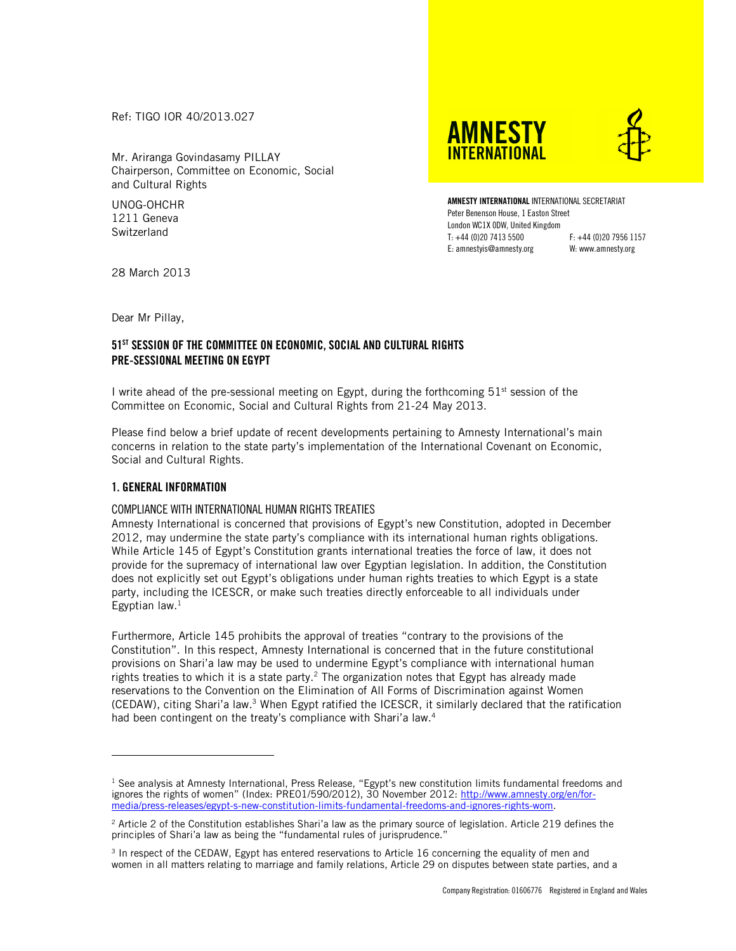Ref: TIGO IOR 40/2013.027

Mr. Ariranga Govindasamy PILLAY Chairperson, Committee on Economic, Social and Cultural Rights

UNOG-OHCHR 1211 Geneva **Switzerland** 

**AMNESTY INTFRNATIONAL** 



**AMNESTY INTERNATIONAL** INTERNATIONAL SECRETARIAT Peter Benenson House, 1 Easton Street London WC1X 0DW, United Kingdom T: +44 (0)20 7413 5500 F: +44 (0)20 7956 1157 E: amnestyis@amnesty.org W: www.amnesty.org

28 March 2013

Dear Mr Pillay,

# **51ST SESSION OF THE COMMITTEE ON ECONOMIC, SOCIAL AND CULTURAL RIGHTS PRE-SESSIONAL MEETING ON EGYPT**

I write ahead of the pre-sessional meeting on Egypt, during the forthcoming  $51<sup>st</sup>$  session of the Committee on Economic, Social and Cultural Rights from 21-24 May 2013.

Please find below a brief update of recent developments pertaining to Amnesty International's main concerns in relation to the state party's implementation of the International Covenant on Economic, Social and Cultural Rights.

## **1. GENERAL INFORMATION**

-

## COMPLIANCE WITH INTERNATIONAL HUMAN RIGHTS TREATIES

Amnesty International is concerned that provisions of Egypt's new Constitution, adopted in December 2012, may undermine the state party's compliance with its international human rights obligations. While Article 145 of Egypt's Constitution grants international treaties the force of law, it does not provide for the supremacy of international law over Egyptian legislation. In addition, the Constitution does not explicitly set out Egypt's obligations under human rights treaties to which Egypt is a state party, including the ICESCR, or make such treaties directly enforceable to all individuals under Egyptian law. $1$ 

Furthermore, Article 145 prohibits the approval of treaties "contrary to the provisions of the Constitution". In this respect, Amnesty International is concerned that in the future constitutional provisions on Shari'a law may be used to undermine Egypt's compliance with international human rights treaties to which it is a state party.<sup>2</sup> The organization notes that Egypt has already made reservations to the Convention on the Elimination of All Forms of Discrimination against Women (CEDAW), citing Shari'a law.<sup>3</sup> When Egypt ratified the ICESCR, it similarly declared that the ratification had been contingent on the treaty's compliance with Shari'a law.<sup>4</sup>

<sup>&</sup>lt;sup>1</sup> See analysis at Amnesty International, Press Release, "Egypt's new constitution limits fundamental freedoms and ignores the rights of women" (Index: PRE01/590/2012), 30 November 2012: http://www.amnesty.org/en/formedia/press-releases/egypt-s-new-constitution-limits-fundamental-freedoms-and-ignores-rights-wom.

<sup>&</sup>lt;sup>2</sup> Article 2 of the Constitution establishes Shari'a law as the primary source of legislation. Article 219 defines the principles of Shari'a law as being the "fundamental rules of jurisprudence."

<sup>&</sup>lt;sup>3</sup> In respect of the CEDAW, Egypt has entered reservations to Article 16 concerning the equality of men and women in all matters relating to marriage and family relations, Article 29 on disputes between state parties, and a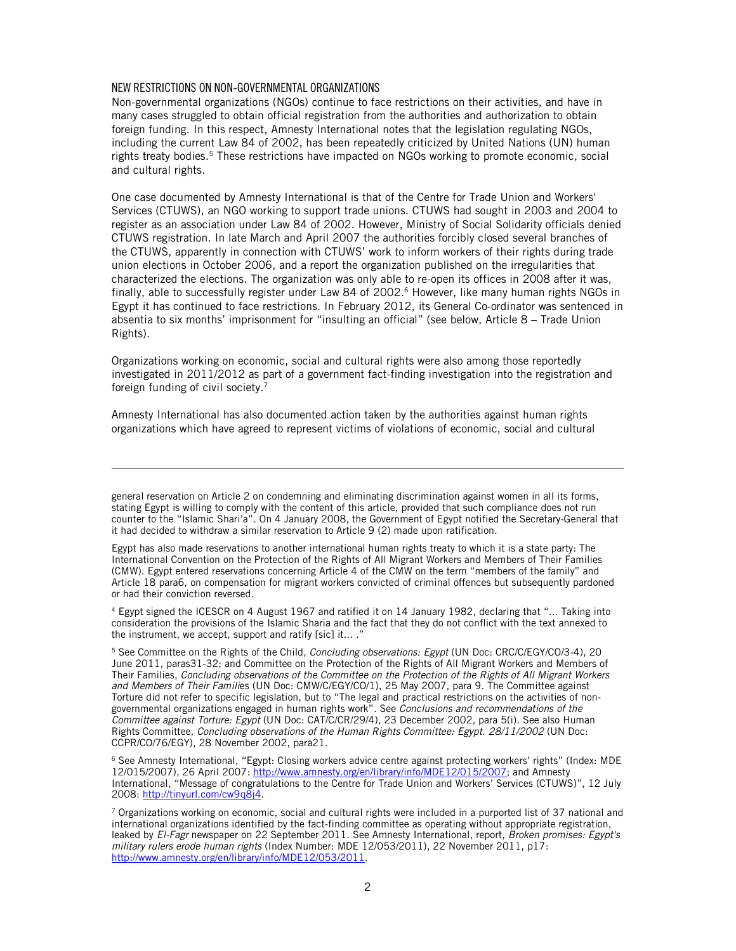## NEW RESTRICTIONS ON NON-GOVERNMENTAL ORGANIZATIONS

-

Non-governmental organizations (NGOs) continue to face restrictions on their activities, and have in many cases struggled to obtain official registration from the authorities and authorization to obtain foreign funding. In this respect, Amnesty International notes that the legislation regulating NGOs, including the current Law 84 of 2002, has been repeatedly criticized by United Nations (UN) human rights treaty bodies.<sup>5</sup> These restrictions have impacted on NGOs working to promote economic, social and cultural rights.

One case documented by Amnesty International is that of the Centre for Trade Union and Workers' Services (CTUWS), an NGO working to support trade unions. CTUWS had sought in 2003 and 2004 to register as an association under Law 84 of 2002. However, Ministry of Social Solidarity officials denied CTUWS registration. In late March and April 2007 the authorities forcibly closed several branches of the CTUWS, apparently in connection with CTUWS' work to inform workers of their rights during trade union elections in October 2006, and a report the organization published on the irregularities that characterized the elections. The organization was only able to re-open its offices in 2008 after it was, finally, able to successfully register under Law 84 of 2002.<sup>6</sup> However, like many human rights NGOs in Egypt it has continued to face restrictions. In February 2012, its General Co-ordinator was sentenced in absentia to six months' imprisonment for "insulting an official" (see below, Article 8 – Trade Union Rights).

Organizations working on economic, social and cultural rights were also among those reportedly investigated in 2011/2012 as part of a government fact-finding investigation into the registration and foreign funding of civil society.<sup>7</sup>

Amnesty International has also documented action taken by the authorities against human rights organizations which have agreed to represent victims of violations of economic, social and cultural

Egypt has also made reservations to another international human rights treaty to which it is a state party: The International Convention on the Protection of the Rights of All Migrant Workers and Members of Their Families (CMW). Egypt entered reservations concerning Article 4 of the CMW on the term "members of the family" and Article 18 para6, on compensation for migrant workers convicted of criminal offences but subsequently pardoned or had their conviction reversed.

4 Egypt signed the ICESCR on 4 August 1967 and ratified it on 14 January 1982, declaring that "... Taking into consideration the provisions of the Islamic Sharia and the fact that they do not conflict with the text annexed to the instrument, we accept, support and ratify [sic] it... ."

5 See Committee on the Rights of the Child, *Concluding observations: Egypt* (UN Doc: CRC/C/EGY/CO/3-4), 20 June 2011, paras31-32; and Committee on the Protection of the Rights of All Migrant Workers and Members of Their Families, *Concluding observations of the Committee on the Protection of the Rights of All Migrant Workers and Members of Their Famili*es (UN Doc: CMW/C/EGY/CO/1), 25 May 2007, para 9. The Committee against Torture did not refer to specific legislation, but to "The legal and practical restrictions on the activities of nongovernmental organizations engaged in human rights work". See *Conclusions and recommendations of the Committee against Torture: Egypt* (UN Doc: CAT/C/CR/29/4), 23 December 2002, para 5(i). See also Human Rights Committee, *Concluding observations of the Human Rights Committee: Egypt. 28/11/2002* (UN Doc: CCPR/CO/76/EGY), 28 November 2002, para21.

6 See Amnesty International, "Egypt: Closing workers advice centre against protecting workers' rights" (Index: MDE 12/015/2007), 26 April 2007: http://www.amnesty.org/en/library/info/MDE12/015/2007; and Amnesty International, "Message of congratulations to the Centre for Trade Union and Workers' Services (CTUWS)", 12 July 2008: http://tinyurl.com/cw9q8j4.

7 Organizations working on economic, social and cultural rights were included in a purported list of 37 national and international organizations identified by the fact-finding committee as operating without appropriate registration, leaked by *El-Fagr* newspaper on 22 September 2011. See Amnesty International, report, *Broken promises: Egypt's military rulers erode human rights* (Index Number: MDE 12/053/2011), 22 November 2011, p17: http://www.amnesty.org/en/library/info/MDE12/053/2011.

general reservation on Article 2 on condemning and eliminating discrimination against women in all its forms, stating Egypt is willing to comply with the content of this article, provided that such compliance does not run counter to the "Islamic Shari'a". On 4 January 2008, the Government of Egypt notified the Secretary-General that it had decided to withdraw a similar reservation to Article 9 (2) made upon ratification.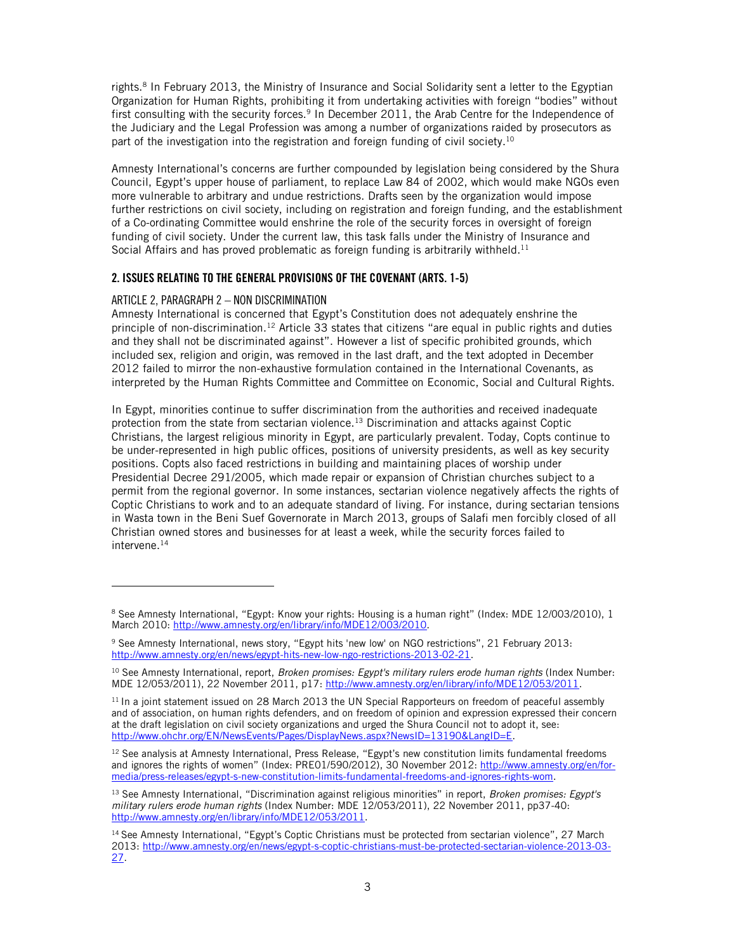rights.<sup>8</sup> In February 2013, the Ministry of Insurance and Social Solidarity sent a letter to the Egyptian Organization for Human Rights, prohibiting it from undertaking activities with foreign "bodies" without first consulting with the security forces.<sup>9</sup> In December 2011, the Arab Centre for the Independence of the Judiciary and the Legal Profession was among a number of organizations raided by prosecutors as part of the investigation into the registration and foreign funding of civil society.<sup>10</sup>

Amnesty International's concerns are further compounded by legislation being considered by the Shura Council, Egypt's upper house of parliament, to replace Law 84 of 2002, which would make NGOs even more vulnerable to arbitrary and undue restrictions. Drafts seen by the organization would impose further restrictions on civil society, including on registration and foreign funding, and the establishment of a Co-ordinating Committee would enshrine the role of the security forces in oversight of foreign funding of civil society. Under the current law, this task falls under the Ministry of Insurance and Social Affairs and has proved problematic as foreign funding is arbitrarily withheld.<sup>11</sup>

## **2. ISSUES RELATING TO THE GENERAL PROVISIONS OF THE COVENANT (ARTS. 1-5)**

# ARTICLE 2, PARAGRAPH 2 – NON DISCRIMINATION

-

Amnesty International is concerned that Egypt's Constitution does not adequately enshrine the principle of non-discrimination.<sup>12</sup> Article 33 states that citizens "are equal in public rights and duties and they shall not be discriminated against". However a list of specific prohibited grounds, which included sex, religion and origin, was removed in the last draft, and the text adopted in December 2012 failed to mirror the non-exhaustive formulation contained in the International Covenants, as interpreted by the Human Rights Committee and Committee on Economic, Social and Cultural Rights.

In Egypt, minorities continue to suffer discrimination from the authorities and received inadequate protection from the state from sectarian violence.<sup>13</sup> Discrimination and attacks against Coptic Christians, the largest religious minority in Egypt, are particularly prevalent. Today, Copts continue to be under-represented in high public offices, positions of university presidents, as well as key security positions. Copts also faced restrictions in building and maintaining places of worship under Presidential Decree 291/2005, which made repair or expansion of Christian churches subject to a permit from the regional governor. In some instances, sectarian violence negatively affects the rights of Coptic Christians to work and to an adequate standard of living. For instance, during sectarian tensions in Wasta town in the Beni Suef Governorate in March 2013, groups of Salafi men forcibly closed of all Christian owned stores and businesses for at least a week, while the security forces failed to intervene.<sup>14</sup>

<sup>&</sup>lt;sup>8</sup> See Amnesty International, "Egypt: Know your rights: Housing is a human right" (Index: MDE 12/003/2010), 1 March 2010: http://www.amnesty.org/en/library/info/MDE12/003/2010.

<sup>9</sup> See Amnesty International, news story, "Egypt hits 'new low' on NGO restrictions", 21 February 2013: http://www.amnesty.org/en/news/egypt-hits-new-low-ngo-restrictions-2013-02-21.

<sup>&</sup>lt;sup>10</sup> See Amnesty International, report, *Broken promises: Egypt's military rulers erode human rights* (Index Number: MDE 12/053/2011), 22 November 2011, p17: http://www.amnesty.org/en/library/info/MDE12/053/2011.

<sup>&</sup>lt;sup>11</sup> In a joint statement issued on 28 March 2013 the UN Special Rapporteurs on freedom of peaceful assembly and of association, on human rights defenders, and on freedom of opinion and expression expressed their concern at the draft legislation on civil society organizations and urged the Shura Council not to adopt it, see: http://www.ohchr.org/EN/NewsEvents/Pages/DisplayNews.aspx?NewsID=13190&LangID=E.

<sup>&</sup>lt;sup>12</sup> See analysis at Amnesty International, Press Release, "Egypt's new constitution limits fundamental freedoms and ignores the rights of women" (Index: PRE01/590/2012), 30 November 2012: http://www.amnesty.org/en/formedia/press-releases/egypt-s-new-constitution-limits-fundamental-freedoms-and-ignores-rights-wom.

<sup>13</sup> See Amnesty International, "Discrimination against religious minorities" in report, *Broken promises: Egypt's military rulers erode human rights* (Index Number: MDE 12/053/2011), 22 November 2011, pp37-40: http://www.amnesty.org/en/library/info/MDE12/053/2011.

<sup>&</sup>lt;sup>14</sup> See Amnesty International, "Egypt's Coptic Christians must be protected from sectarian violence", 27 March 2013: http://www.amnesty.org/en/news/egypt-s-coptic-christians-must-be-protected-sectarian-violence-2013-03- 27.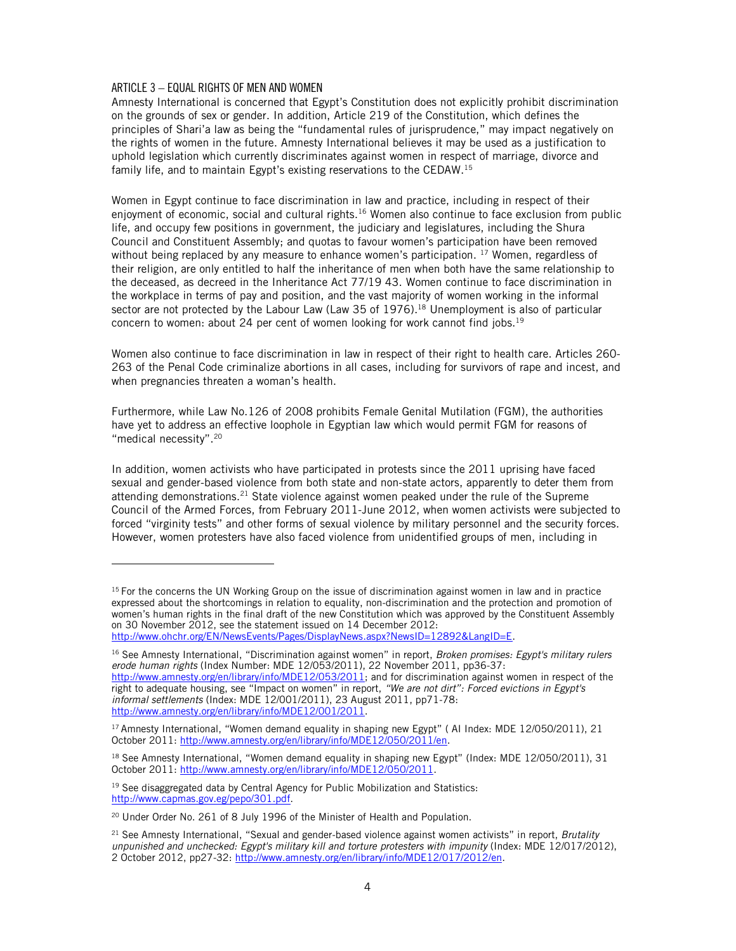## ARTICLE 3 – EQUAL RIGHTS OF MEN AND WOMEN

-

Amnesty International is concerned that Egypt's Constitution does not explicitly prohibit discrimination on the grounds of sex or gender. In addition, Article 219 of the Constitution, which defines the principles of Shari'a law as being the "fundamental rules of jurisprudence," may impact negatively on the rights of women in the future. Amnesty International believes it may be used as a justification to uphold legislation which currently discriminates against women in respect of marriage, divorce and family life, and to maintain Egypt's existing reservations to the CEDAW.<sup>15</sup>

Women in Egypt continue to face discrimination in law and practice, including in respect of their enjoyment of economic, social and cultural rights.<sup>16</sup> Women also continue to face exclusion from public life, and occupy few positions in government, the judiciary and legislatures, including the Shura Council and Constituent Assembly; and quotas to favour women's participation have been removed without being replaced by any measure to enhance women's participation. <sup>17</sup> Women, regardless of their religion, are only entitled to half the inheritance of men when both have the same relationship to the deceased, as decreed in the Inheritance Act 77/19 43. Women continue to face discrimination in the workplace in terms of pay and position, and the vast majority of women working in the informal sector are not protected by the Labour Law (Law 35 of 1976).<sup>18</sup> Unemployment is also of particular concern to women: about 24 per cent of women looking for work cannot find jobs.<sup>19</sup>

Women also continue to face discrimination in law in respect of their right to health care. Articles 260- 263 of the Penal Code criminalize abortions in all cases, including for survivors of rape and incest, and when pregnancies threaten a woman's health.

Furthermore, while Law No.126 of 2008 prohibits Female Genital Mutilation (FGM), the authorities have yet to address an effective loophole in Egyptian law which would permit FGM for reasons of "medical necessity".<sup>20</sup>

In addition, women activists who have participated in protests since the 2011 uprising have faced sexual and gender-based violence from both state and non-state actors, apparently to deter them from attending demonstrations.<sup>21</sup> State violence against women peaked under the rule of the Supreme Council of the Armed Forces, from February 2011-June 2012, when women activists were subjected to forced "virginity tests" and other forms of sexual violence by military personnel and the security forces. However, women protesters have also faced violence from unidentified groups of men, including in

<sup>19</sup> See disaggregated data by Central Agency for Public Mobilization and Statistics: http://www.capmas.gov.eg/pepo/301.pdf.

<sup>&</sup>lt;sup>15</sup> For the concerns the UN Working Group on the issue of discrimination against women in law and in practice expressed about the shortcomings in relation to equality, non-discrimination and the protection and promotion of women's human rights in the final draft of the new Constitution which was approved by the Constituent Assembly on 30 November 2012, see the statement issued on 14 December 2012: http://www.ohchr.org/EN/NewsEvents/Pages/DisplayNews.aspx?NewsID=12892&LangID=E.

<sup>16</sup> See Amnesty International, "Discrimination against women" in report, *Broken promises: Egypt's military rulers erode human rights* (Index Number: MDE 12/053/2011), 22 November 2011, pp36-37: http://www.amnesty.org/en/library/info/MDE12/053/2011; and for discrimination against women in respect of the right to adequate housing, see "Impact on women" in report, *"We are not dirt": Forced evictions in Egypt's informal settlements* (Index: MDE 12/001/2011), 23 August 2011, pp71-78: http://www.amnesty.org/en/library/info/MDE12/001/2011.

<sup>&</sup>lt;sup>17</sup> Amnesty International, "Women demand equality in shaping new Egypt" (Al Index: MDE 12/050/2011), 21 October 2011: http://www.amnesty.org/en/library/info/MDE12/050/2011/en.

 $18$  See Amnesty International, "Women demand equality in shaping new Egypt" (Index: MDE  $12/050/2011$ ), 31 October 2011: http://www.amnesty.org/en/library/info/MDE12/050/2011.

<sup>&</sup>lt;sup>20</sup> Under Order No. 261 of 8 July 1996 of the Minister of Health and Population.

<sup>21</sup> See Amnesty International, "Sexual and gender-based violence against women activists" in report, *Brutality unpunished and unchecked: Egypt's military kill and torture protesters with impunity* (Index: MDE 12/017/2012), 2 October 2012, pp27-32: http://www.amnesty.org/en/library/info/MDE12/017/2012/en.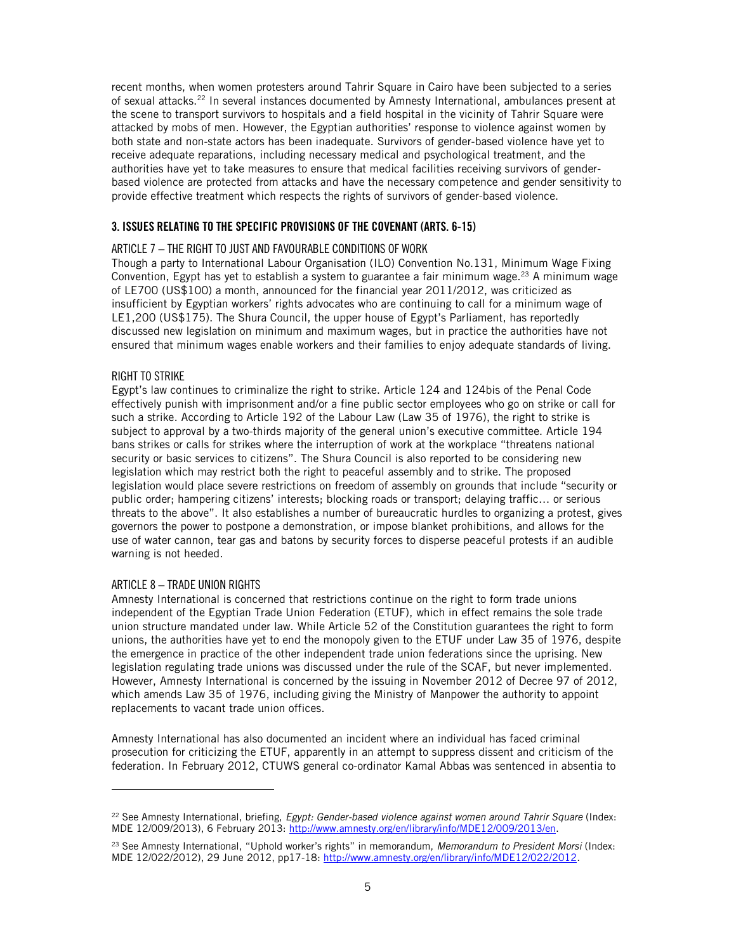recent months, when women protesters around Tahrir Square in Cairo have been subjected to a series of sexual attacks.<sup>22</sup> In several instances documented by Amnesty International, ambulances present at the scene to transport survivors to hospitals and a field hospital in the vicinity of Tahrir Square were attacked by mobs of men. However, the Egyptian authorities' response to violence against women by both state and non-state actors has been inadequate. Survivors of gender-based violence have yet to receive adequate reparations, including necessary medical and psychological treatment, and the authorities have yet to take measures to ensure that medical facilities receiving survivors of genderbased violence are protected from attacks and have the necessary competence and gender sensitivity to provide effective treatment which respects the rights of survivors of gender-based violence.

## **3. ISSUES RELATING TO THE SPECIFIC PROVISIONS OF THE COVENANT (ARTS. 6-15)**

## ARTICLE 7 – THE RIGHT TO JUST AND FAVOURABLE CONDITIONS OF WORK

Though a party to International Labour Organisation (ILO) Convention No.131, Minimum Wage Fixing Convention, Egypt has yet to establish a system to guarantee a fair minimum wage.<sup>23</sup> A minimum wage of LE700 (US\$100) a month, announced for the financial year 2011/2012, was criticized as insufficient by Egyptian workers' rights advocates who are continuing to call for a minimum wage of LE1,200 (US\$175). The Shura Council, the upper house of Egypt's Parliament, has reportedly discussed new legislation on minimum and maximum wages, but in practice the authorities have not ensured that minimum wages enable workers and their families to enjoy adequate standards of living.

## RIGHT TO STRIKE

Egypt's law continues to criminalize the right to strike. Article 124 and 124bis of the Penal Code effectively punish with imprisonment and/or a fine public sector employees who go on strike or call for such a strike. According to Article 192 of the Labour Law (Law 35 of 1976), the right to strike is subject to approval by a two-thirds majority of the general union's executive committee. Article 194 bans strikes or calls for strikes where the interruption of work at the workplace "threatens national security or basic services to citizens". The Shura Council is also reported to be considering new legislation which may restrict both the right to peaceful assembly and to strike. The proposed legislation would place severe restrictions on freedom of assembly on grounds that include "security or public order; hampering citizens' interests; blocking roads or transport; delaying traffic… or serious threats to the above". It also establishes a number of bureaucratic hurdles to organizing a protest, gives governors the power to postpone a demonstration, or impose blanket prohibitions, and allows for the use of water cannon, tear gas and batons by security forces to disperse peaceful protests if an audible warning is not heeded.

#### ARTICLE 8 – TRADE UNION RIGHTS

-

Amnesty International is concerned that restrictions continue on the right to form trade unions independent of the Egyptian Trade Union Federation (ETUF), which in effect remains the sole trade union structure mandated under law. While Article 52 of the Constitution guarantees the right to form unions, the authorities have yet to end the monopoly given to the ETUF under Law 35 of 1976, despite the emergence in practice of the other independent trade union federations since the uprising. New legislation regulating trade unions was discussed under the rule of the SCAF, but never implemented. However, Amnesty International is concerned by the issuing in November 2012 of Decree 97 of 2012, which amends Law 35 of 1976, including giving the Ministry of Manpower the authority to appoint replacements to vacant trade union offices.

Amnesty International has also documented an incident where an individual has faced criminal prosecution for criticizing the ETUF, apparently in an attempt to suppress dissent and criticism of the federation. In February 2012, CTUWS general co-ordinator Kamal Abbas was sentenced in absentia to

<sup>22</sup> See Amnesty International, briefing, *Egypt: Gender-based violence against women around Tahrir Square* (Index: MDE 12/009/2013), 6 February 2013: http://www.amnesty.org/en/library/info/MDE12/009/2013/en.

<sup>23</sup> See Amnesty International, "Uphold worker's rights" in memorandum, *Memorandum to President Morsi* (Index: MDE 12/022/2012), 29 June 2012, pp17-18: http://www.amnesty.org/en/library/info/MDE12/022/2012.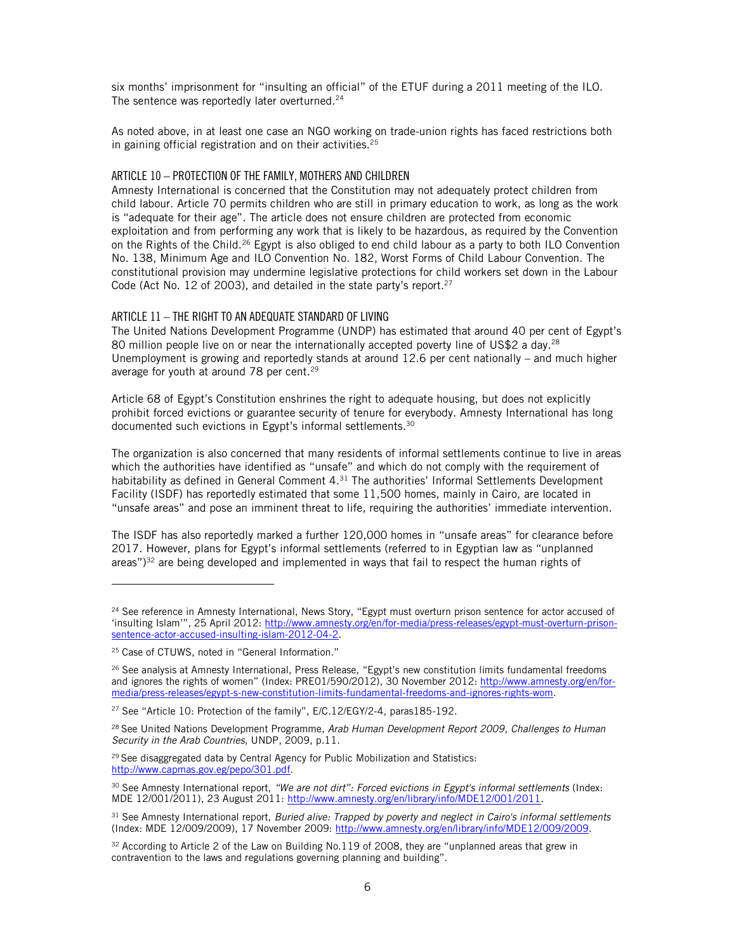six months' imprisonment for "insulting an official" of the ETUF during a 2011 meeting of the ILO. The sentence was reportedly later overturned.<sup>24</sup>

As noted above, in at least one case an NGO working on trade-union rights has faced restrictions both in gaining official registration and on their activities.<sup>25</sup>

## ARTICLE 10 – PROTECTION OF THE FAMILY, MOTHERS AND CHILDREN

Amnesty International is concerned that the Constitution may not adequately protect children from child labour. Article 70 permits children who are still in primary education to work, as long as the work is "adequate for their age". The article does not ensure children are protected from economic exploitation and from performing any work that is likely to be hazardous, as required by the Convention on the Rights of the Child.<sup>26</sup> Egypt is also obliged to end child labour as a party to both ILO Convention No. 138, Minimum Age and ILO Convention No. 182, Worst Forms of Child Labour Convention. The constitutional provision may undermine legislative protections for child workers set down in the Labour Code (Act No. 12 of 2003), and detailed in the state party's report.<sup>27</sup>

#### ARTICLE 11 – THE RIGHT TO AN ADEQUATE STANDARD OF LIVING

The United Nations Development Programme (UNDP) has estimated that around 40 per cent of Egypt's 80 million people live on or near the internationally accepted poverty line of US\$2 a day.<sup>28</sup> Unemployment is growing and reportedly stands at around 12.6 per cent nationally – and much higher average for youth at around 78 per cent.<sup>29</sup>

Article 68 of Egypt's Constitution enshrines the right to adequate housing, but does not explicitly prohibit forced evictions or guarantee security of tenure for everybody. Amnesty International has long documented such evictions in Egypt's informal settlements.<sup>30</sup>

The organization is also concerned that many residents of informal settlements continue to live in areas which the authorities have identified as "unsafe" and which do not comply with the requirement of habitability as defined in General Comment 4.<sup>31</sup> The authorities' Informal Settlements Development Facility (ISDF) has reportedly estimated that some 11,500 homes, mainly in Cairo, are located in "unsafe areas" and pose an imminent threat to life, requiring the authorities' immediate intervention.

The ISDF has also reportedly marked a further 120,000 homes in "unsafe areas" for clearance before 2017. However, plans for Egypt's informal settlements (referred to in Egyptian law as "unplanned areas") $32$  are being developed and implemented in ways that fail to respect the human rights of

-

<sup>27</sup> See "Article 10: Protection of the family", E/C.12/EGY/2-4, paras185-192.

<sup>28</sup> See United Nations Development Programme, *Arab Human Development Report 2009, Challenges to Human Security in the Arab Countries*, UNDP, 2009, p.11.

<sup>29</sup> See disaggregated data by Central Agency for Public Mobilization and Statistics: http://www.capmas.gov.eg/pepo/301.pdf.

<sup>30</sup> See Amnesty International report, *"We are not dirt": Forced evictions in Egypt's informal settlements* (Index: MDE 12/001/2011), 23 August 2011: http://www.amnesty.org/en/library/info/MDE12/001/2011.

<sup>&</sup>lt;sup>24</sup> See reference in Amnesty International, News Story, "Egypt must overturn prison sentence for actor accused of 'insulting Islam'", 25 April 2012: http://www.amnesty.org/en/for-media/press-releases/egypt-must-overturn-prisonsentence-actor-accused-insulting-islam-2012-04-2.

<sup>25</sup> Case of CTUWS, noted in "General Information."

<sup>&</sup>lt;sup>26</sup> See analysis at Amnesty International, Press Release, "Egypt's new constitution limits fundamental freedoms and ignores the rights of women" (Index: PRE01/590/2012), 30 November 2012: http://www.amnesty.org/en/formedia/press-releases/egypt-s-new-constitution-limits-fundamental-freedoms-and-ignores-rights-wom.

<sup>31</sup> See Amnesty International report, *Buried alive: Trapped by poverty and neglect in Cairo's informal settlements* (Index: MDE 12/009/2009), 17 November 2009: http://www.amnesty.org/en/library/info/MDE12/009/2009.

<sup>&</sup>lt;sup>32</sup> According to Article 2 of the Law on Building No.119 of 2008, they are "unplanned areas that grew in contravention to the laws and regulations governing planning and building".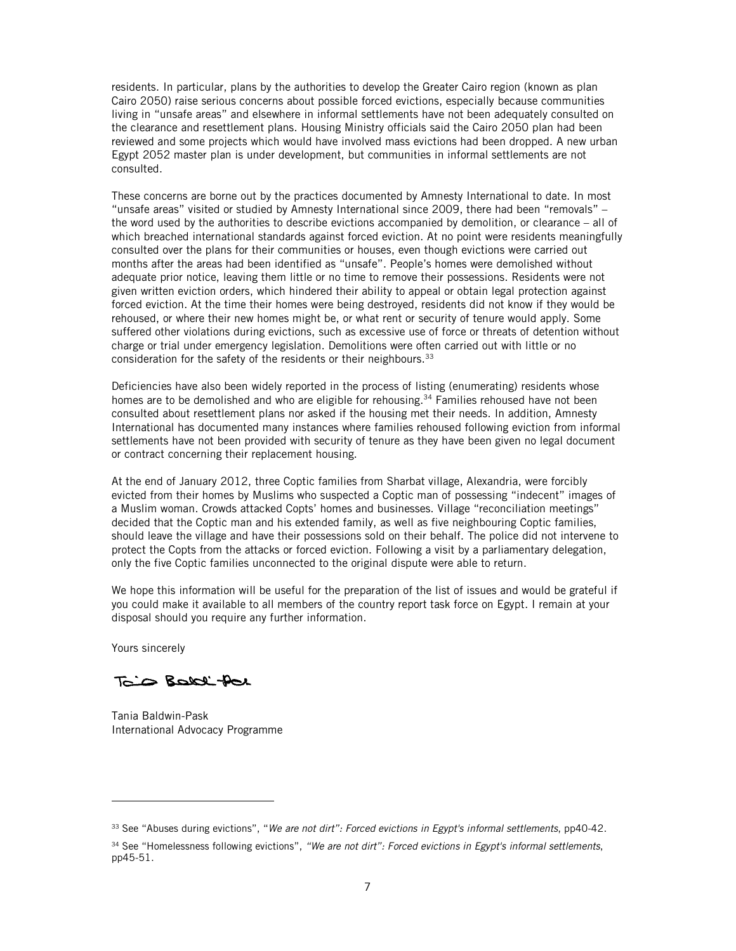residents. In particular, plans by the authorities to develop the Greater Cairo region (known as plan Cairo 2050) raise serious concerns about possible forced evictions, especially because communities living in "unsafe areas" and elsewhere in informal settlements have not been adequately consulted on the clearance and resettlement plans. Housing Ministry officials said the Cairo 2050 plan had been reviewed and some projects which would have involved mass evictions had been dropped. A new urban Egypt 2052 master plan is under development, but communities in informal settlements are not consulted.

These concerns are borne out by the practices documented by Amnesty International to date. In most "unsafe areas" visited or studied by Amnesty International since 2009, there had been "removals" – the word used by the authorities to describe evictions accompanied by demolition, or clearance – all of which breached international standards against forced eviction. At no point were residents meaningfully consulted over the plans for their communities or houses, even though evictions were carried out months after the areas had been identified as "unsafe". People's homes were demolished without adequate prior notice, leaving them little or no time to remove their possessions. Residents were not given written eviction orders, which hindered their ability to appeal or obtain legal protection against forced eviction. At the time their homes were being destroyed, residents did not know if they would be rehoused, or where their new homes might be, or what rent or security of tenure would apply. Some suffered other violations during evictions, such as excessive use of force or threats of detention without charge or trial under emergency legislation. Demolitions were often carried out with little or no consideration for the safety of the residents or their neighbours.<sup>33</sup>

Deficiencies have also been widely reported in the process of listing (enumerating) residents whose homes are to be demolished and who are eligible for rehousing.<sup>34</sup> Families rehoused have not been consulted about resettlement plans nor asked if the housing met their needs. In addition, Amnesty International has documented many instances where families rehoused following eviction from informal settlements have not been provided with security of tenure as they have been given no legal document or contract concerning their replacement housing.

At the end of January 2012, three Coptic families from Sharbat village, Alexandria, were forcibly evicted from their homes by Muslims who suspected a Coptic man of possessing "indecent" images of a Muslim woman. Crowds attacked Copts' homes and businesses. Village "reconciliation meetings" decided that the Coptic man and his extended family, as well as five neighbouring Coptic families, should leave the village and have their possessions sold on their behalf. The police did not intervene to protect the Copts from the attacks or forced eviction. Following a visit by a parliamentary delegation, only the five Coptic families unconnected to the original dispute were able to return.

We hope this information will be useful for the preparation of the list of issues and would be grateful if you could make it available to all members of the country report task force on Egypt. I remain at your disposal should you require any further information.

Yours sincerely

-

Tais Bold par

Tania Baldwin-Pask International Advocacy Programme

<sup>33</sup> See "Abuses during evictions", "*We are not dirt": Forced evictions in Egypt's informal settlements*, pp40-42.

<sup>34</sup> See "Homelessness following evictions", *"We are not dirt": Forced evictions in Egypt's informal settlements*, pp45-51.